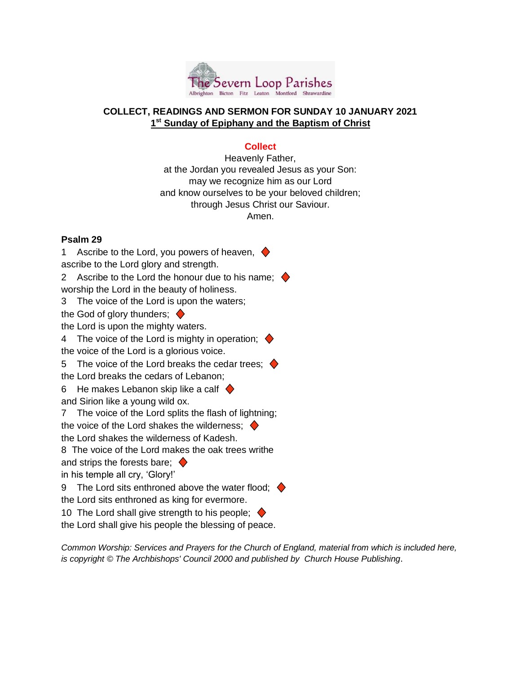

# **COLLECT, READINGS AND SERMON FOR SUNDAY 10 JANUARY 2021 1 st Sunday of Epiphany and the Baptism of Christ**

# **Collect**

Heavenly Father, at the Jordan you revealed Jesus as your Son: may we recognize him as our Lord and know ourselves to be your beloved children; through Jesus Christ our Saviour. Amen.

## **Psalm 29**

1 Ascribe to the Lord, you powers of heaven,  $\blacklozenge$ ascribe to the Lord glory and strength.

2 Ascribe to the Lord the honour due to his name;  $\blacklozenge$ worship the Lord in the beauty of holiness.

3 The voice of the Lord is upon the waters;

the God of glory thunders;  $\blacklozenge$ 

the Lord is upon the mighty waters.

4 The voice of the Lord is mighty in operation;  $\blacklozenge$ the voice of the Lord is a glorious voice.

5 The voice of the Lord breaks the cedar trees;  $\blacklozenge$ the Lord breaks the cedars of Lebanon;

6 He makes Lebanon skip like a calf  $\blacklozenge$ 

and Sirion like a young wild ox.

7 The voice of the Lord splits the flash of lightning;

the voice of the Lord shakes the wilderness:  $\blacklozenge$ 

the Lord shakes the wilderness of Kadesh.

8 The voice of the Lord makes the oak trees writhe

and strips the forests bare;  $\blacklozenge$ 

in his temple all cry, 'Glory!'

9 The Lord sits enthroned above the water flood;  $\blacklozenge$ the Lord sits enthroned as king for evermore.

10 The Lord shall give strength to his people;  $\blacklozenge$ 

the Lord shall give his people the blessing of peace.

*Common Worship: Services and Prayers for the Church of England, material from which is included here, is copyright © The Archbishops' Council 2000 and published by Church House Publishing*.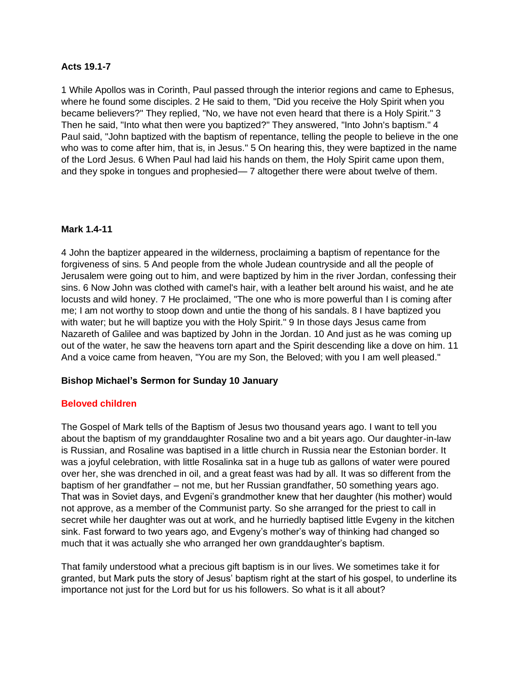#### **Acts 19.1-7**

1 While Apollos was in Corinth, Paul passed through the interior regions and came to Ephesus, where he found some disciples. 2 He said to them, "Did you receive the Holy Spirit when you became believers?" They replied, "No, we have not even heard that there is a Holy Spirit." 3 Then he said, "Into what then were you baptized?" They answered, "Into John's baptism." 4 Paul said, "John baptized with the baptism of repentance, telling the people to believe in the one who was to come after him, that is, in Jesus." 5 On hearing this, they were baptized in the name of the Lord Jesus. 6 When Paul had laid his hands on them, the Holy Spirit came upon them, and they spoke in tongues and prophesied— 7 altogether there were about twelve of them.

## **Mark 1.4-11**

4 John the baptizer appeared in the wilderness, proclaiming a baptism of repentance for the forgiveness of sins. 5 And people from the whole Judean countryside and all the people of Jerusalem were going out to him, and were baptized by him in the river Jordan, confessing their sins. 6 Now John was clothed with camel's hair, with a leather belt around his waist, and he ate locusts and wild honey. 7 He proclaimed, "The one who is more powerful than I is coming after me; I am not worthy to stoop down and untie the thong of his sandals. 8 I have baptized you with water; but he will baptize you with the Holy Spirit." 9 In those days Jesus came from Nazareth of Galilee and was baptized by John in the Jordan. 10 And just as he was coming up out of the water, he saw the heavens torn apart and the Spirit descending like a dove on him. 11 And a voice came from heaven, "You are my Son, the Beloved; with you I am well pleased."

## **Bishop Michael's Sermon for Sunday 10 January**

## **Beloved children**

The Gospel of Mark tells of the Baptism of Jesus two thousand years ago. I want to tell you about the baptism of my granddaughter Rosaline two and a bit years ago. Our daughter-in-law is Russian, and Rosaline was baptised in a little church in Russia near the Estonian border. It was a joyful celebration, with little Rosalinka sat in a huge tub as gallons of water were poured over her, she was drenched in oil, and a great feast was had by all. It was so different from the baptism of her grandfather – not me, but her Russian grandfather, 50 something years ago. That was in Soviet days, and Evgeni's grandmother knew that her daughter (his mother) would not approve, as a member of the Communist party. So she arranged for the priest to call in secret while her daughter was out at work, and he hurriedly baptised little Evgeny in the kitchen sink. Fast forward to two years ago, and Evgeny's mother's way of thinking had changed so much that it was actually she who arranged her own granddaughter's baptism.

That family understood what a precious gift baptism is in our lives. We sometimes take it for granted, but Mark puts the story of Jesus' baptism right at the start of his gospel, to underline its importance not just for the Lord but for us his followers. So what is it all about?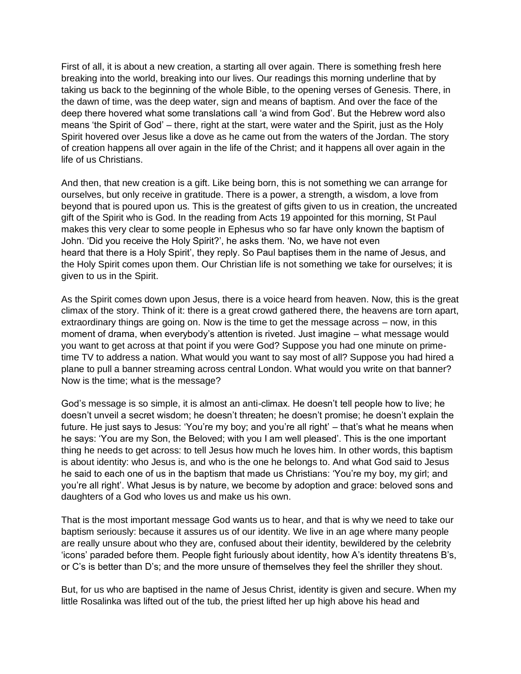First of all, it is about a new creation, a starting all over again. There is something fresh here breaking into the world, breaking into our lives. Our readings this morning underline that by taking us back to the beginning of the whole Bible, to the opening verses of Genesis. There, in the dawn of time, was the deep water, sign and means of baptism. And over the face of the deep there hovered what some translations call 'a wind from God'. But the Hebrew word also means 'the Spirit of God' – there, right at the start, were water and the Spirit, just as the Holy Spirit hovered over Jesus like a dove as he came out from the waters of the Jordan. The story of creation happens all over again in the life of the Christ; and it happens all over again in the life of us Christians.

And then, that new creation is a gift. Like being born, this is not something we can arrange for ourselves, but only receive in gratitude. There is a power, a strength, a wisdom, a love from beyond that is poured upon us. This is the greatest of gifts given to us in creation, the uncreated gift of the Spirit who is God. In the reading from Acts 19 appointed for this morning, St Paul makes this very clear to some people in Ephesus who so far have only known the baptism of John. 'Did you receive the Holy Spirit?', he asks them. 'No, we have not even heard that there is a Holy Spirit', they reply. So Paul baptises them in the name of Jesus, and the Holy Spirit comes upon them. Our Christian life is not something we take for ourselves; it is given to us in the Spirit.

As the Spirit comes down upon Jesus, there is a voice heard from heaven. Now, this is the great climax of the story. Think of it: there is a great crowd gathered there, the heavens are torn apart, extraordinary things are going on. Now is the time to get the message across – now, in this moment of drama, when everybody's attention is riveted. Just imagine – what message would you want to get across at that point if you were God? Suppose you had one minute on primetime TV to address a nation. What would you want to say most of all? Suppose you had hired a plane to pull a banner streaming across central London. What would you write on that banner? Now is the time; what is the message?

God's message is so simple, it is almost an anti-climax. He doesn't tell people how to live; he doesn't unveil a secret wisdom; he doesn't threaten; he doesn't promise; he doesn't explain the future. He just says to Jesus: 'You're my boy; and you're all right' – that's what he means when he says: 'You are my Son, the Beloved; with you I am well pleased'. This is the one important thing he needs to get across: to tell Jesus how much he loves him. In other words, this baptism is about identity: who Jesus is, and who is the one he belongs to. And what God said to Jesus he said to each one of us in the baptism that made us Christians: 'You're my boy, my girl; and you're all right'. What Jesus is by nature, we become by adoption and grace: beloved sons and daughters of a God who loves us and make us his own.

That is the most important message God wants us to hear, and that is why we need to take our baptism seriously: because it assures us of our identity. We live in an age where many people are really unsure about who they are, confused about their identity, bewildered by the celebrity 'icons' paraded before them. People fight furiously about identity, how A's identity threatens B's, or C's is better than D's; and the more unsure of themselves they feel the shriller they shout.

But, for us who are baptised in the name of Jesus Christ, identity is given and secure. When my little Rosalinka was lifted out of the tub, the priest lifted her up high above his head and